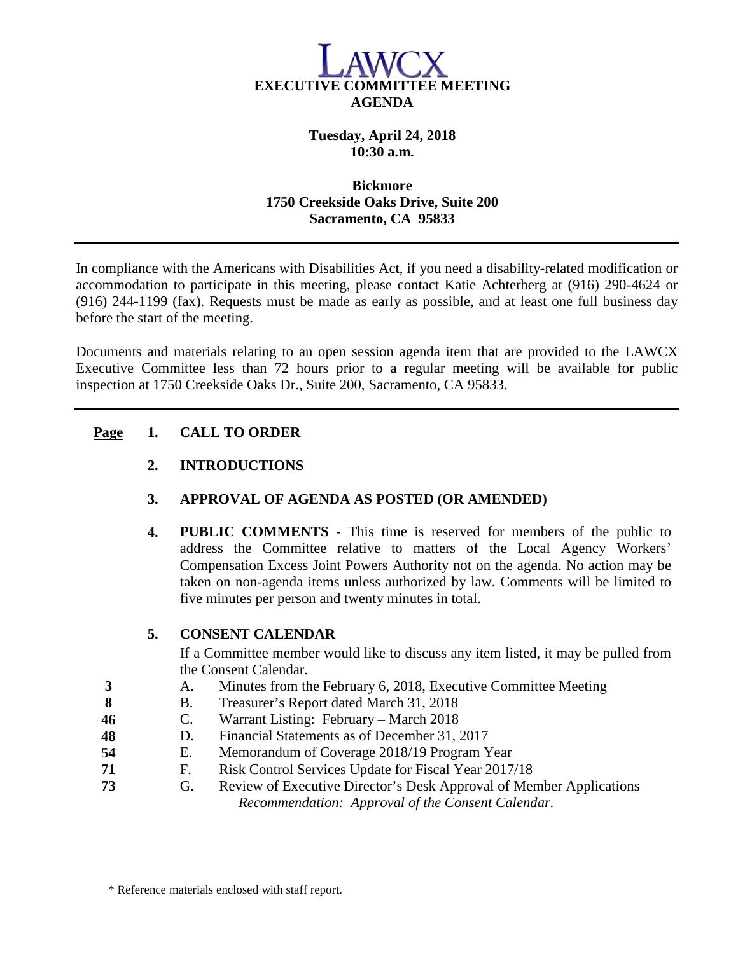

# **Tuesday, April 24, 2018 10:30 a.m.**

#### **Bickmore 1750 Creekside Oaks Drive, Suite 200 Sacramento, CA 95833**

In compliance with the Americans with Disabilities Act, if you need a disability-related modification or accommodation to participate in this meeting, please contact Katie Achterberg at (916) 290-4624 or (916) 244-1199 (fax). Requests must be made as early as possible, and at least one full business day before the start of the meeting.

Documents and materials relating to an open session agenda item that are provided to the LAWCX Executive Committee less than 72 hours prior to a regular meeting will be available for public inspection at 1750 Creekside Oaks Dr., Suite 200, Sacramento, CA 95833.

# **Page 1. CALL TO ORDER**

# **2. INTRODUCTIONS**

# **3. APPROVAL OF AGENDA AS POSTED (OR AMENDED)**

**4. PUBLIC COMMENTS** - This time is reserved for members of the public to address the Committee relative to matters of the Local Agency Workers' Compensation Excess Joint Powers Authority not on the agenda. No action may be taken on non-agenda items unless authorized by law. Comments will be limited to five minutes per person and twenty minutes in total.

# **5. CONSENT CALENDAR**

If a Committee member would like to discuss any item listed, it may be pulled from the Consent Calendar.

- **3** A. Minutes from the February 6, 2018, Executive Committee Meeting
- **8** B. Treasurer's Report dated March 31, 2018
- **46** C. Warrant Listing: February March 2018
- **48** D. Financial Statements as of December 31, 2017
- **54** E. Memorandum of Coverage 2018/19 Program Year
- **71** F. Risk Control Services Update for Fiscal Year 2017/18
- **73** G. Review of Executive Director's Desk Approval of Member Applications *Recommendation: Approval of the Consent Calendar.*

\* Reference materials enclosed with staff report.